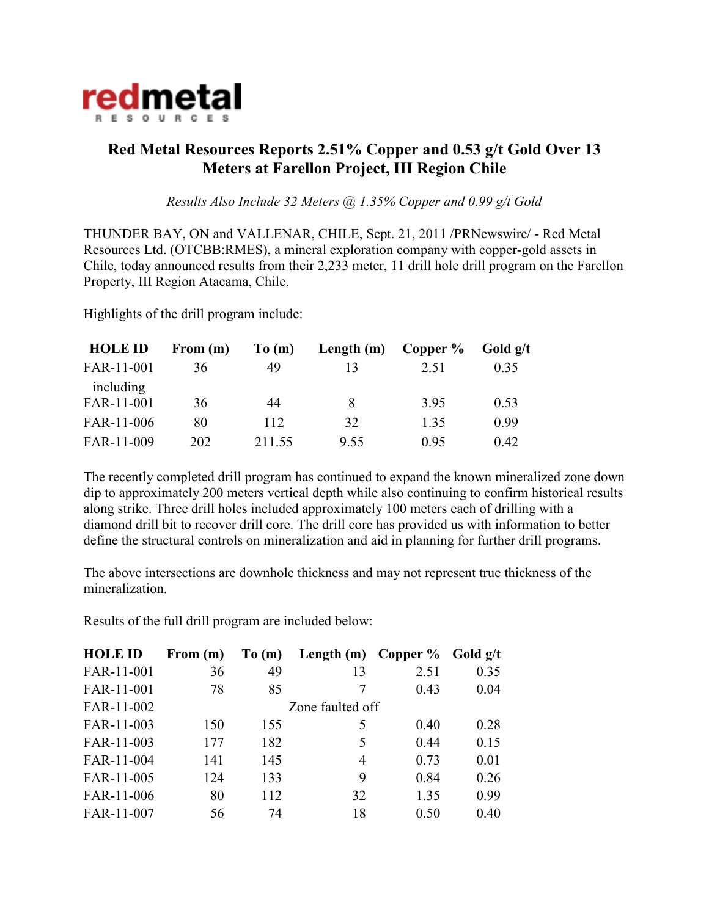

## **Red Metal Resources Reports 2.51% Copper and 0.53 g/t Gold Over 13 Meters at Farellon Project, III Region Chile**

*Results Also Include 32 Meters @ 1.35% Copper and 0.99 g/t Gold*

THUNDER BAY, ON and VALLENAR, CHILE, Sept. 21, 2011 /PRNewswire/ - Red Metal Resources Ltd. (OTCBB:RMES), a mineral exploration company with copper-gold assets in Chile, today announced results from their 2,233 meter, 11 drill hole drill program on the Farellon Property, III Region Atacama, Chile.

Highlights of the drill program include:

| <b>HOLE ID</b>          | From $(m)$ | To(m)  | Length $(m)$ | Copper $\%$ | Gold $g/t$ |
|-------------------------|------------|--------|--------------|-------------|------------|
| FAR-11-001              | 36         | 49     | 13           | 2.51        | 0.35       |
| including<br>FAR-11-001 | 36         | 44     | 8            | 3.95        | 0.53       |
| FAR-11-006              | 80         | 112    | 32           | 1.35        | 0.99       |
| FAR-11-009              | 202        | 211.55 | 9.55         | 0.95        | 0.42       |

The recently completed drill program has continued to expand the known mineralized zone down dip to approximately 200 meters vertical depth while also continuing to confirm historical results along strike. Three drill holes included approximately 100 meters each of drilling with a diamond drill bit to recover drill core. The drill core has provided us with information to better define the structural controls on mineralization and aid in planning for further drill programs.

The above intersections are downhole thickness and may not represent true thickness of the mineralization.

Results of the full drill program are included below:

| <b>HOLE ID</b> | From $(m)$ | To(m) | Length $(m)$     | Copper $\%$ | Gold $g/t$ |
|----------------|------------|-------|------------------|-------------|------------|
| FAR-11-001     | 36         | 49    | 13               | 2.51        | 0.35       |
| FAR-11-001     | 78         | 85    |                  | 0.43        | 0.04       |
| FAR-11-002     |            |       | Zone faulted off |             |            |
| FAR-11-003     | 150        | 155   | 5                | 0.40        | 0.28       |
| FAR-11-003     | 177        | 182   | 5                | 0.44        | 0.15       |
| FAR-11-004     | 141        | 145   | 4                | 0.73        | 0.01       |
| FAR-11-005     | 124        | 133   | 9                | 0.84        | 0.26       |
| FAR-11-006     | 80         | 112   | 32               | 1.35        | 0.99       |
| FAR-11-007     | 56         | 74    | 18               | 0.50        | 0.40       |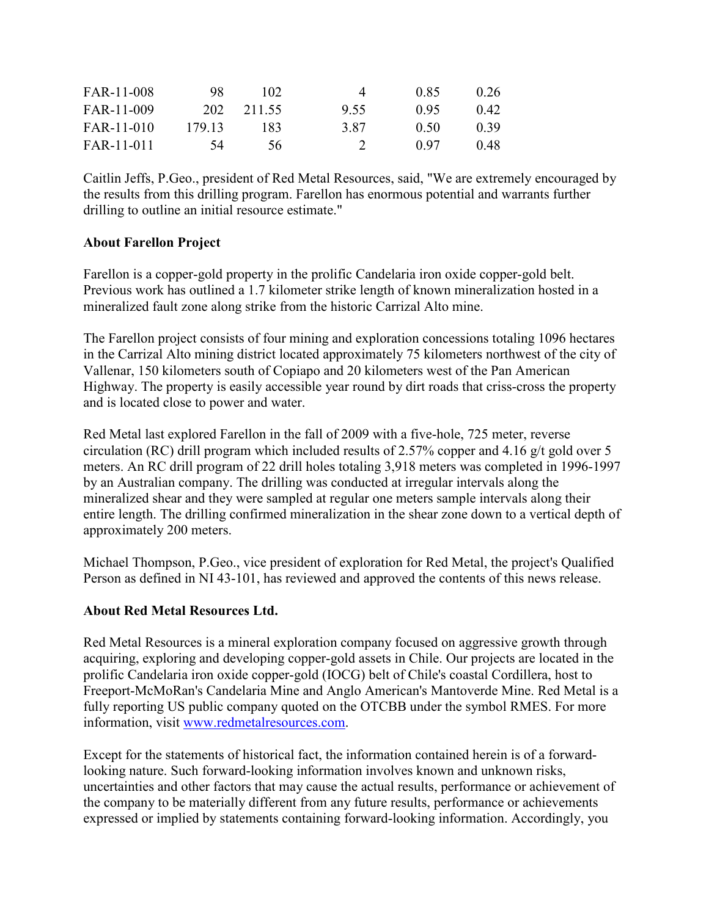| FAR-11-008 | 98     | 102.   | $\Delta$ | 0.85 | 0.26 |
|------------|--------|--------|----------|------|------|
| FAR-11-009 | 202    | 211.55 | 9.55     | 0.95 | 0.42 |
| FAR-11-010 | 179 13 | 183    | 387      | 0.50 | 0.39 |
| FAR-11-011 | 54     | 56.    |          | 0.97 | 0.48 |

Caitlin Jeffs, P.Geo., president of Red Metal Resources, said, "We are extremely encouraged by the results from this drilling program. Farellon has enormous potential and warrants further drilling to outline an initial resource estimate."

## **About Farellon Project**

Farellon is a copper-gold property in the prolific Candelaria iron oxide copper-gold belt. Previous work has outlined a 1.7 kilometer strike length of known mineralization hosted in a mineralized fault zone along strike from the historic Carrizal Alto mine.

The Farellon project consists of four mining and exploration concessions totaling 1096 hectares in the Carrizal Alto mining district located approximately 75 kilometers northwest of the city of Vallenar, 150 kilometers south of Copiapo and 20 kilometers west of the Pan American Highway. The property is easily accessible year round by dirt roads that criss-cross the property and is located close to power and water.

Red Metal last explored Farellon in the fall of 2009 with a five-hole, 725 meter, reverse circulation (RC) drill program which included results of 2.57% copper and 4.16 g/t gold over 5 meters. An RC drill program of 22 drill holes totaling 3,918 meters was completed in 1996-1997 by an Australian company. The drilling was conducted at irregular intervals along the mineralized shear and they were sampled at regular one meters sample intervals along their entire length. The drilling confirmed mineralization in the shear zone down to a vertical depth of approximately 200 meters.

Michael Thompson, P.Geo., vice president of exploration for Red Metal, the project's Qualified Person as defined in NI 43-101, has reviewed and approved the contents of this news release.

## **About Red Metal Resources Ltd.**

Red Metal Resources is a mineral exploration company focused on aggressive growth through acquiring, exploring and developing copper-gold assets in Chile. Our projects are located in the prolific Candelaria iron oxide copper-gold (IOCG) belt of Chile's coastal Cordillera, host to Freeport-McMoRan's Candelaria Mine and Anglo American's Mantoverde Mine. Red Metal is a fully reporting US public company quoted on the OTCBB under the symbol RMES. For more information, visit www.redmetalresources.com.

Except for the statements of historical fact, the information contained herein is of a forwardlooking nature. Such forward-looking information involves known and unknown risks, uncertainties and other factors that may cause the actual results, performance or achievement of the company to be materially different from any future results, performance or achievements expressed or implied by statements containing forward-looking information. Accordingly, you